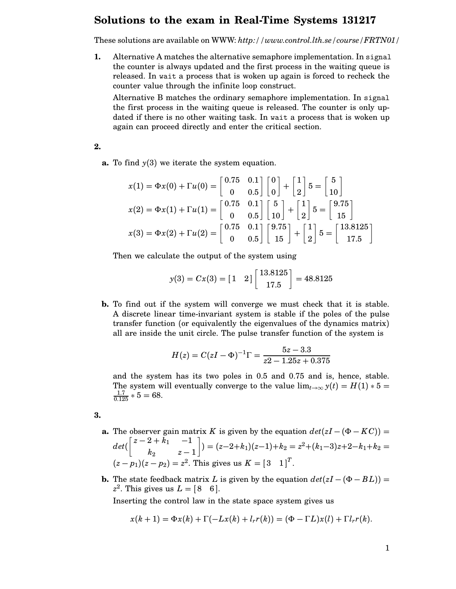## **Solutions to the exam in Real-Time Systems 131217**

These solutions are available on WWW: *http://www.control.lth.se/course/FRTN01/*

**1.** Alternative A matches the alternative semaphore implementation. In signal the counter is always updated and the first process in the waiting queue is released. In wait a process that is woken up again is forced to recheck the counter value through the infinite loop construct.

Alternative B matches the ordinary semaphore implementation. In signal the first process in the waiting queue is released. The counter is only updated if there is no other waiting task. In wait a process that is woken up again can proceed directly and enter the critical section.

**2.**

**a.** To find *y*(3) we iterate the system equation.

$$
x(1) = \Phi x(0) + \Gamma u(0) = \begin{bmatrix} 0.75 & 0.1 \\ 0 & 0.5 \end{bmatrix} \begin{bmatrix} 0 \\ 0 \end{bmatrix} + \begin{bmatrix} 1 \\ 2 \end{bmatrix} 5 = \begin{bmatrix} 5 \\ 10 \end{bmatrix}
$$

$$
x(2) = \Phi x(1) + \Gamma u(1) = \begin{bmatrix} 0.75 & 0.1 \\ 0 & 0.5 \end{bmatrix} \begin{bmatrix} 5 \\ 10 \end{bmatrix} + \begin{bmatrix} 1 \\ 2 \end{bmatrix} 5 = \begin{bmatrix} 9.75 \\ 15 \end{bmatrix}
$$

$$
x(3) = \Phi x(2) + \Gamma u(2) = \begin{bmatrix} 0.75 & 0.1 \\ 0 & 0.5 \end{bmatrix} \begin{bmatrix} 9.75 \\ 15 \end{bmatrix} + \begin{bmatrix} 1 \\ 2 \end{bmatrix} 5 = \begin{bmatrix} 13.8125 \\ 17.5 \end{bmatrix}
$$

Then we calculate the output of the system using

$$
y(3) = Cx(3) = [1 \t2] \begin{bmatrix} 13.8125 \\ 17.5 \end{bmatrix} = 48.8125
$$

**b.** To find out if the system will converge we must check that it is stable. A discrete linear time-invariant system is stable if the poles of the pulse transfer function (or equivalently the eigenvalues of the dynamics matrix) all are inside the unit circle. The pulse transfer function of the system is

$$
H(z) = C(zI - \Phi)^{-1}\Gamma = \frac{5z - 3.3}{z^2 - 1.25z + 0.375}
$$

and the system has its two poles in 0.5 and 0.75 and is, hence, stable. The system will eventually converge to the value  $\lim_{t\to\infty} y(t) = H(1) * 5 =$  $\frac{1.7}{0.125} * 5 = 68.$ 

**3.**

- **a.** The observer gain matrix *K* is given by the equation  $det(zI (\Phi KC))$  =  $det(\begin{bmatrix} z-2+k_1 & -1 \end{bmatrix})$ *k*<sup>2</sup> *z* − 1  $\Big]$ ) = (*z*−2+*k*<sub>1</sub>)(*z*−1)+*k*<sub>2</sub> = *z*<sup>2</sup>+(*k*<sub>1</sub>−3)*z*+2−*k*<sub>1</sub>+*k*<sub>2</sub> =  $(z - p_1)(z - p_2) = z^2$ . This gives us  $K = \begin{bmatrix} 3 & 1 \end{bmatrix}^T$ .
- **b.** The state feedback matrix *L* is given by the equation  $det(zI (\Phi BL))$  =  $z^2$ . This gives us  $L = [8 \ 6]$ . Inserting the control law in the state space system gives us

 $x(k+1) = \Phi x(k) + \Gamma(-Lx(k) + l_r r(k)) = (\Phi - \Gamma L)x(l) + \Gamma l_r r(k).$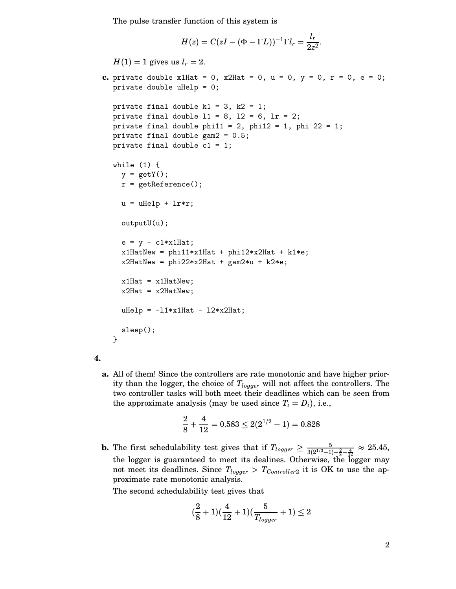The pulse transfer function of this system is

$$
H(z) = C(zI - (\Phi - \Gamma L))^{-1} \Gamma l_r = \frac{l_r}{2z^2}.
$$

 $H(1) = 1$  gives us  $l_r = 2$ .

```
c. private double x1Hat = 0, x2Hat = 0, u = 0, y = 0, r = 0, e = 0;
  private double uHelp = 0;
  private final double k1 = 3, k2 = 1;
  private final double 11 = 8, 12 = 6, 1r = 2;
  private final double phi11 = 2, phi12 = 1, phi 22 = 1;
  private final double gam2 = 0.5;
  private final double c1 = 1;
  while (1) {
    y = getY();
    r = getReference();
    u = uHelp + lr*r;
    outputU(u);
    e = y - c1*x1Hat;x1HatNew = phi11*x1Hat + phi12*x2Hat + k1*e;x2HatNew = phi22*x2Hat + gam2*u + k2*e;x1Hat = x1HatNew;x2Hat = x2HatNew;uHe1p = -11*x1Hat - 12*x2Hat;sleep();
  }
```

```
4.
```
**a.** All of them! Since the controllers are rate monotonic and have higher priority than the logger, the choice of  $T_{logger}$  will not affect the controllers. The two controller tasks will both meet their deadlines which can be seen from the approximate analysis (may be used since  $T_i = D_i$ ), i.e.,

$$
\frac{2}{8} + \frac{4}{12} = 0.583 \le 2(2^{1/2} - 1) = 0.828
$$

**b.** The first schedulability test gives that if  $T_{logger} \ge \frac{5}{3(2^{1/3}-1)-\frac{2}{8}-\frac{4}{12}} \approx 25.45$ , the logger is guaranteed to meet its dealines. Otherwise, the logger may not meet its deadlines. Since  $T_{logger} > T_{Controller2}$  it is OK to use the approximate rate monotonic analysis.

The second schedulability test gives that

$$
(\frac{2}{8} + 1)(\frac{4}{12} + 1)(\frac{5}{T_{logger}} + 1) \le 2
$$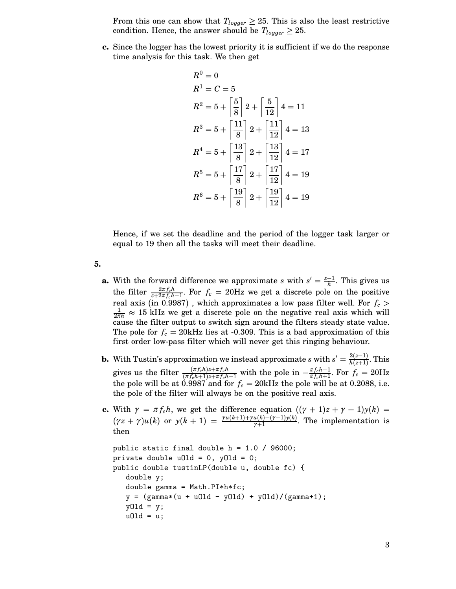From this one can show that  $T_{logger} \geq 25$ . This is also the least restrictive condition. Hence, the answer should be  $T_{loager} \geq 25$ .

**c.** Since the logger has the lowest priority it is sufficient if we do the response time analysis for this task. We then get

$$
R^{0} = 0
$$
  
\n
$$
R^{1} = C = 5
$$
  
\n
$$
R^{2} = 5 + \left[\frac{5}{8}\right]2 + \left[\frac{5}{12}\right]4 = 11
$$
  
\n
$$
R^{3} = 5 + \left[\frac{11}{8}\right]2 + \left[\frac{11}{12}\right]4 = 13
$$
  
\n
$$
R^{4} = 5 + \left[\frac{13}{8}\right]2 + \left[\frac{13}{12}\right]4 = 17
$$
  
\n
$$
R^{5} = 5 + \left[\frac{17}{8}\right]2 + \left[\frac{17}{12}\right]4 = 19
$$
  
\n
$$
R^{6} = 5 + \left[\frac{19}{8}\right]2 + \left[\frac{19}{12}\right]4 = 19
$$

Hence, if we set the deadline and the period of the logger task larger or equal to 19 then all the tasks will meet their deadline.

- **5.**
	- **a.** With the forward difference we approximate *s* with  $s' = \frac{z-1}{h}$ . This gives us the filter  $\frac{2\pi f_c h}{z+2\pi f_c h-1}$ . For  $f_c = 20$ Hz we get a discrete pole on the positive real axis (in 0.9987), which approximates a low pass filter well. For  $f_c$  >  $\frac{1}{2\pi h}$   $\approx$  15 kHz we get a discrete pole on the negative real axis which will cause the filter output to switch sign around the filters steady state value. The pole for  $f_c = 20$ kHz lies at -0.309. This is a bad approximation of this first order low-pass filter which will never get this ringing behaviour.
	- **b.** With Tustin's approximation we instead approximate *s* with  $s' = \frac{2(z-1)}{h(z+1)}$ . This gives us the filter  $\frac{(\pi f_c h)z+\pi f_c h}{(\pi f_c h+1)z+\pi f_c h-1}$  with the pole in  $-\frac{\pi f_c h-1}{\pi f_c h+1}$ . For  $f_c = 20$ Hz the pole will be at  $0.9987$  and for  $f_c = 20$ kHz the pole will be at 0.2088, i.e. the pole of the filter will always be on the positive real axis.
	- **c.** With  $\gamma = \pi f_c h$ , we get the difference equation  $((\gamma + 1)z + \gamma 1)y(k)$  =  $(\gamma z + \gamma)u(k)$  or  $y(k+1) = \frac{\gamma u(k+1)+\gamma u(k)-(\gamma-1)y(k)}{\gamma+1}$ . The implementation is then

```
public static final double h = 1.0 / 96000;
private double u01d = 0, y01d = 0;
public double tustinLP(double u, double fc) {
   double y;
   double gamma = Math.PI*h*fc;
   y = (gamma*(u + u01d - y01d) + y01d)/(gamma+1);y01d = y;u0ld = u;
```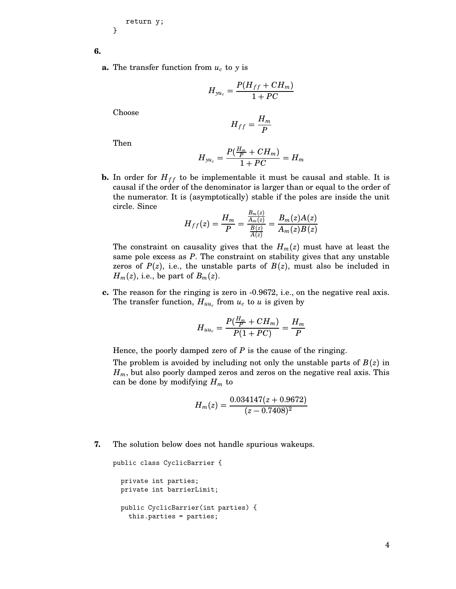```
return y;
}
```
**6.**

**a.** The transfer function from  $u_c$  to y is

$$
H_{yu_c} = \frac{P(H_{ff} + CH_m)}{1 + PC}
$$

Choose

$$
H_{ff} = \frac{H_m}{P}
$$

Then

$$
H_{yu_c}=\frac{P(\frac{H_m}{P}+CH_m)}{1+PC}=H_m
$$

**b.** In order for  $H_{ff}$  to be implementable it must be causal and stable. It is causal if the order of the denominator is larger than or equal to the order of the numerator. It is (asymptotically) stable if the poles are inside the unit circle. Since

$$
H_{ff}(z) = \frac{H_m}{P} = \frac{\frac{B_m(z)}{A_m(z)}}{\frac{B(z)}{A(z)}} = \frac{B_m(z)A(z)}{A_m(z)B(z)}
$$

The constraint on causality gives that the  $H_m(z)$  must have at least the same pole excess as *P*. The constraint on stability gives that any unstable zeros of  $P(z)$ , i.e., the unstable parts of  $B(z)$ , must also be included in  $H_m(z)$ , i.e., be part of  $B_m(z)$ .

**c.** The reason for the ringing is zero in -0.9672, i.e., on the negative real axis. The transfer function,  $H_{uu_c}$  from  $u_c$  to  $u$  is given by

$$
H_{uu_c}=\frac{P(\frac{H_m}{P}+CH_m)}{P(1+PC)}=\frac{H_m}{P}
$$

Hence, the poorly damped zero of *P* is the cause of the ringing.

The problem is avoided by including not only the unstable parts of *B*(*z*) in  $H_m$ , but also poorly damped zeros and zeros on the negative real axis. This can be done by modifying  $H_m$  to

$$
H_m(z) = \frac{0.034147(z + 0.9672)}{(z - 0.7408)^2}
$$

**7.** The solution below does not handle spurious wakeups.

```
public class CyclicBarrier {
  private int parties;
 private int barrierLimit;
  public CyclicBarrier(int parties) {
   this.parties = parties;
```